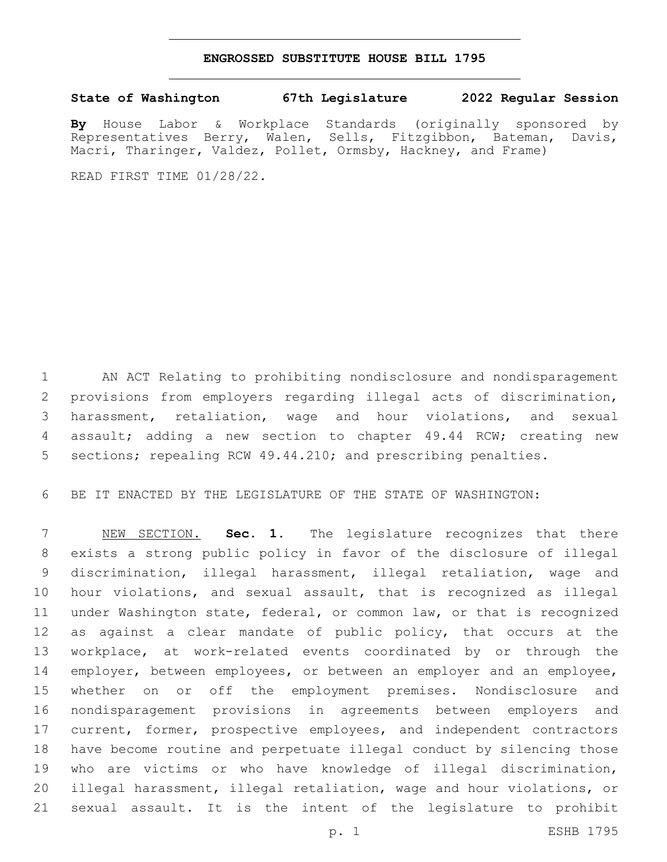## **ENGROSSED SUBSTITUTE HOUSE BILL 1795**

## **State of Washington 67th Legislature 2022 Regular Session**

**By** House Labor & Workplace Standards (originally sponsored by Representatives Berry, Walen, Sells, Fitzgibbon, Bateman, Davis, Macri, Tharinger, Valdez, Pollet, Ormsby, Hackney, and Frame)

READ FIRST TIME 01/28/22.

 AN ACT Relating to prohibiting nondisclosure and nondisparagement provisions from employers regarding illegal acts of discrimination, harassment, retaliation, wage and hour violations, and sexual assault; adding a new section to chapter 49.44 RCW; creating new sections; repealing RCW 49.44.210; and prescribing penalties.

BE IT ENACTED BY THE LEGISLATURE OF THE STATE OF WASHINGTON:

 NEW SECTION. **Sec. 1.** The legislature recognizes that there exists a strong public policy in favor of the disclosure of illegal discrimination, illegal harassment, illegal retaliation, wage and hour violations, and sexual assault, that is recognized as illegal under Washington state, federal, or common law, or that is recognized as against a clear mandate of public policy, that occurs at the workplace, at work-related events coordinated by or through the 14 employer, between employees, or between an employer and an employee, whether on or off the employment premises. Nondisclosure and nondisparagement provisions in agreements between employers and 17 current, former, prospective employees, and independent contractors have become routine and perpetuate illegal conduct by silencing those who are victims or who have knowledge of illegal discrimination, illegal harassment, illegal retaliation, wage and hour violations, or sexual assault. It is the intent of the legislature to prohibit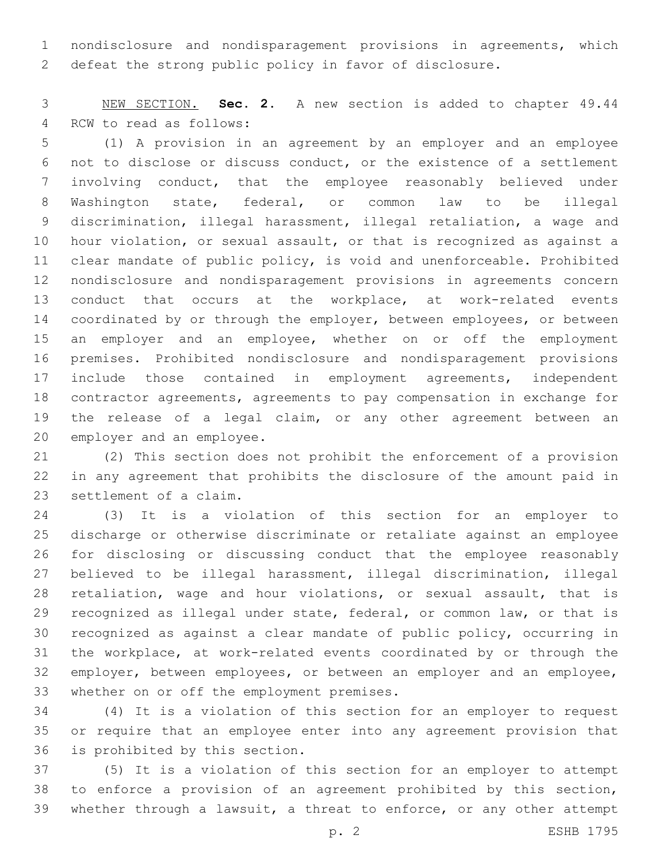nondisclosure and nondisparagement provisions in agreements, which defeat the strong public policy in favor of disclosure.

 NEW SECTION. **Sec. 2.** A new section is added to chapter 49.44 4 RCW to read as follows:

 (1) A provision in an agreement by an employer and an employee not to disclose or discuss conduct, or the existence of a settlement involving conduct, that the employee reasonably believed under Washington state, federal, or common law to be illegal discrimination, illegal harassment, illegal retaliation, a wage and hour violation, or sexual assault, or that is recognized as against a clear mandate of public policy, is void and unenforceable. Prohibited nondisclosure and nondisparagement provisions in agreements concern conduct that occurs at the workplace, at work-related events 14 coordinated by or through the employer, between employees, or between 15 an employer and an employee, whether on or off the employment premises. Prohibited nondisclosure and nondisparagement provisions include those contained in employment agreements, independent contractor agreements, agreements to pay compensation in exchange for the release of a legal claim, or any other agreement between an 20 employer and an employee.

 (2) This section does not prohibit the enforcement of a provision in any agreement that prohibits the disclosure of the amount paid in 23 settlement of a claim.

 (3) It is a violation of this section for an employer to discharge or otherwise discriminate or retaliate against an employee for disclosing or discussing conduct that the employee reasonably believed to be illegal harassment, illegal discrimination, illegal retaliation, wage and hour violations, or sexual assault, that is recognized as illegal under state, federal, or common law, or that is recognized as against a clear mandate of public policy, occurring in the workplace, at work-related events coordinated by or through the 32 employer, between employees, or between an employer and an employee, 33 whether on or off the employment premises.

 (4) It is a violation of this section for an employer to request or require that an employee enter into any agreement provision that 36 is prohibited by this section.

 (5) It is a violation of this section for an employer to attempt to enforce a provision of an agreement prohibited by this section, whether through a lawsuit, a threat to enforce, or any other attempt

p. 2 ESHB 1795